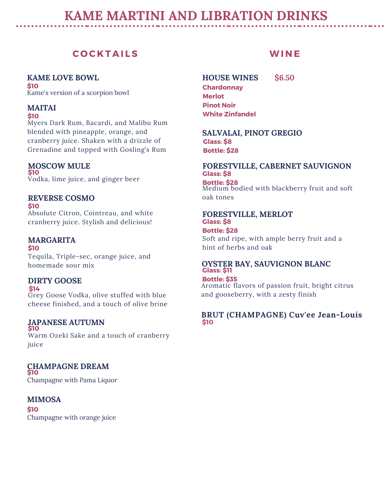# **KAME MARTINI AND LIBRATION DRINKS**

# **C O C K T A I LS**

**KAME LOVE BOWL \$10** Kame's version of a scorpion bowl

### **MAITAI**

**\$10**

Myers Dark Rum, Bacardi, and Malibu Rum blended with pineapple, orange, and cranberry juice. Shaken with a drizzle of Grenadine and topped with Gosling's Rum

### **MOSCOW MULE**

**\$10** Vodka, lime juice, and ginger beer

### **REVERSE COSMO**

**\$10** Absolute Citron, Cointreau, and white cranberry juice. Stylish and delicious!

### **MARGARITA**

**\$10** Tequila, Triple-sec, orange juice, and homemade sour mix

### **DIRTY GOOSE**

**\$14**

Grey Goose Vodka, olive stuffed with blue cheese finished, and a touch of olive brine

# **JAPANESE AUTUMN**

**\$10** Warm Ozeki Sake and a touch of cranberry juice

**CHAMPAGNE DREAM \$10** Champagne with Pama Liquor

### **MIMOSA**

**\$10** Champagne with orange juice

# **WI N E**

**HOUSE WINES \$6.50 Chardonnay Merlot Pinot Noir White Zinfandel**

#### **SALVALAI, PINOT GREGIO Glass: \$8 Bottle: \$28**

# **FORESTVILLE, CABERNET SAUVIGNON Glass: \$8**

**Bottle: \$28** Medium bodied with blackberry fruit and soft oak tones

#### **FORESTVILLE, MERLOT Glass: \$8**

Soft and ripe, with ample berry fruit and a hint of herbs and oak **Bottle: \$28**

### **OYSTER BAY, SAUVIGNON BLANC Glass: \$11**

**Bottle: \$35** Aromatic flavors of passion fruit, bright citrus and gooseberry, with a zesty finish

### **BRUT (CHAMPAGNE) Cuv'ee Jean-Louis \$10**